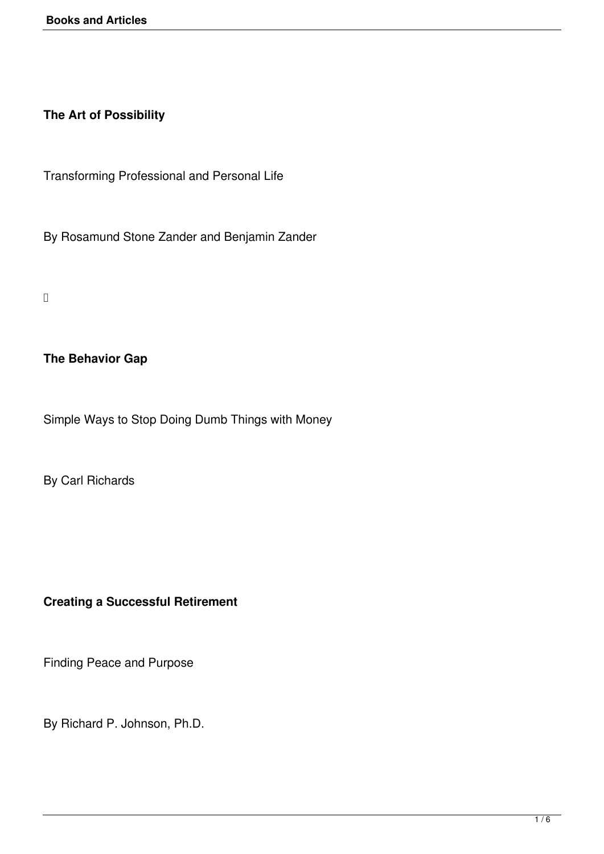**The Art of Possibility**

Transforming Professional and Personal Life

By Rosamund Stone Zander and Benjamin Zander

### **The Behavior Gap**

Simple Ways to Stop Doing Dumb Things with Money

By Carl Richards

## **Creating a Successful Retirement**

Finding Peace and Purpose

By Richard P. Johnson, Ph.D.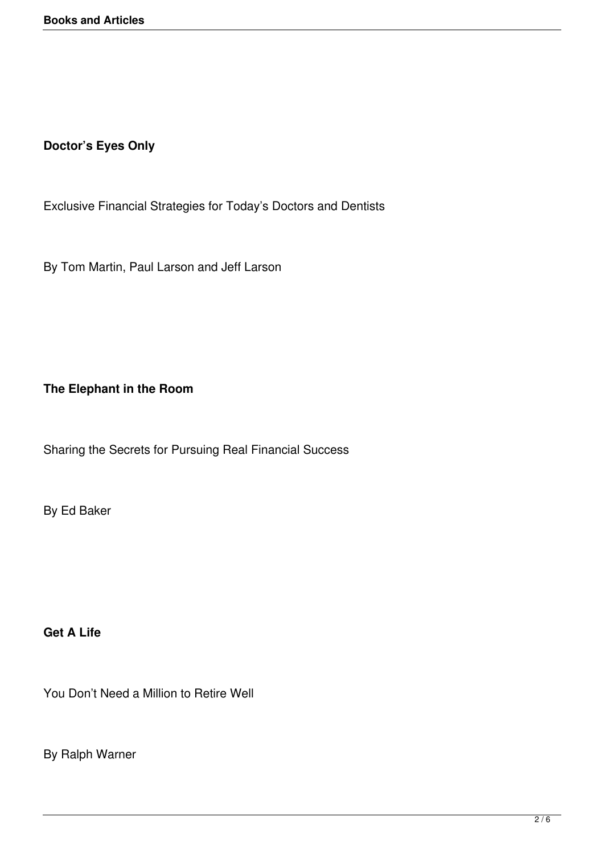# **Doctor's Eyes Only**

Exclusive Financial Strategies for Today's Doctors and Dentists

By Tom Martin, Paul Larson and Jeff Larson

## **The Elephant in the Room**

Sharing the Secrets for Pursuing Real Financial Success

By Ed Baker

**Get A Life**

You Don't Need a Million to Retire Well

By Ralph Warner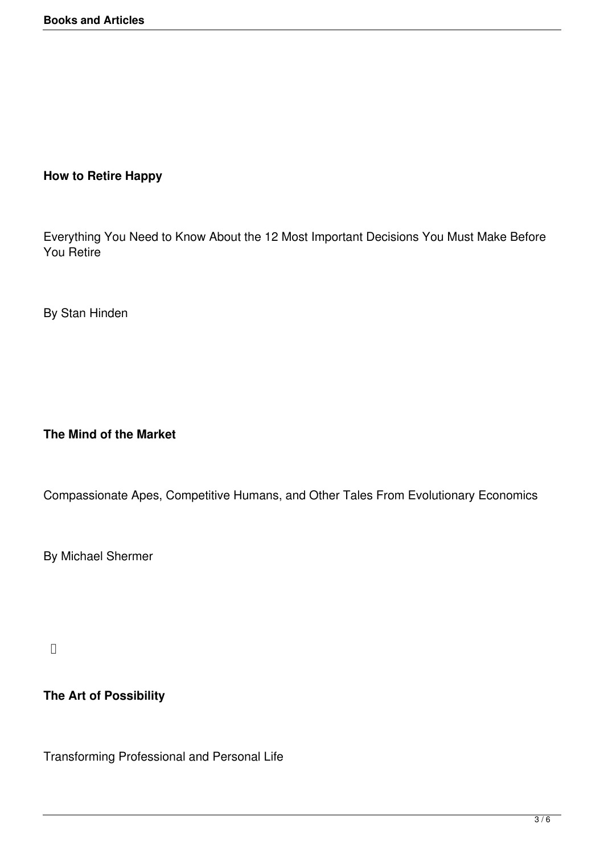### **How to Retire Happy**

Everything You Need to Know About the 12 Most Important Decisions You Must Make Before You Retire

By Stan Hinden

#### **The Mind of the Market**

Compassionate Apes, Competitive Humans, and Other Tales From Evolutionary Economics

By Michael Shermer

## **The Art of Possibility**

Transforming Professional and Personal Life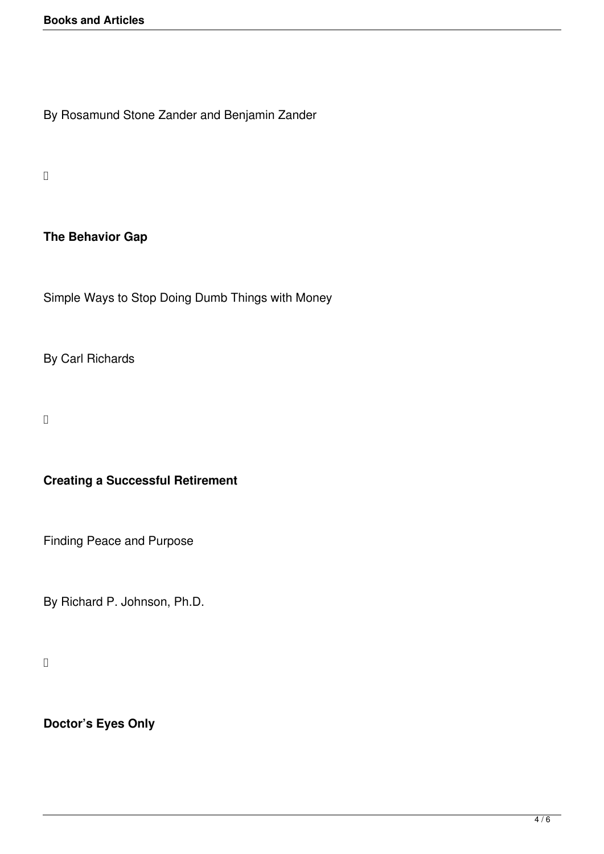By Rosamund Stone Zander and Benjamin Zander

 $\Box$ 

### **The Behavior Gap**

Simple Ways to Stop Doing Dumb Things with Money

By Carl Richards

# **Creating a Successful Retirement**

Finding Peace and Purpose

By Richard P. Johnson, Ph.D.

# **Doctor's Eyes Only**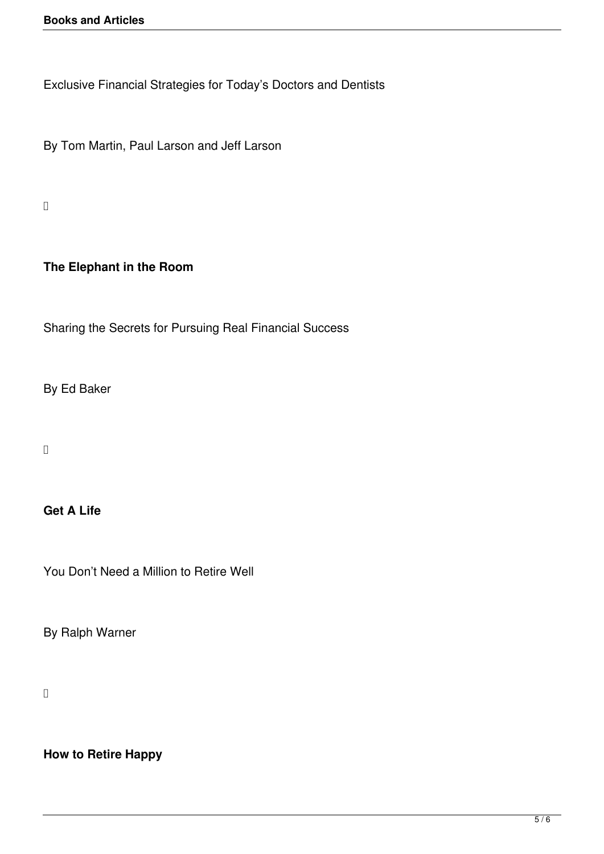Exclusive Financial Strategies for Today's Doctors and Dentists

By Tom Martin, Paul Larson and Jeff Larson

 $\Box$ 

### **The Elephant in the Room**

Sharing the Secrets for Pursuing Real Financial Success

By Ed Baker

#### **Get A Life**

You Don't Need a Million to Retire Well

By Ralph Warner

**How to Retire Happy**